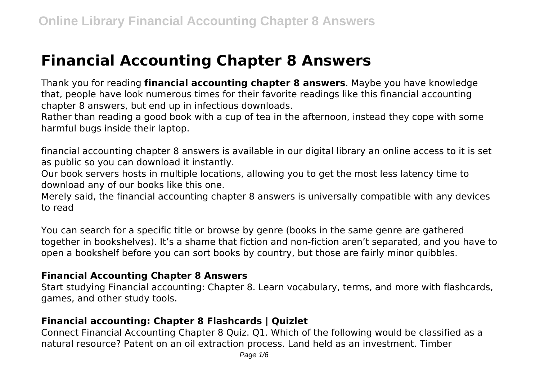# **Financial Accounting Chapter 8 Answers**

Thank you for reading **financial accounting chapter 8 answers**. Maybe you have knowledge that, people have look numerous times for their favorite readings like this financial accounting chapter 8 answers, but end up in infectious downloads.

Rather than reading a good book with a cup of tea in the afternoon, instead they cope with some harmful bugs inside their laptop.

financial accounting chapter 8 answers is available in our digital library an online access to it is set as public so you can download it instantly.

Our book servers hosts in multiple locations, allowing you to get the most less latency time to download any of our books like this one.

Merely said, the financial accounting chapter 8 answers is universally compatible with any devices to read

You can search for a specific title or browse by genre (books in the same genre are gathered together in bookshelves). It's a shame that fiction and non-fiction aren't separated, and you have to open a bookshelf before you can sort books by country, but those are fairly minor quibbles.

## **Financial Accounting Chapter 8 Answers**

Start studying Financial accounting: Chapter 8. Learn vocabulary, terms, and more with flashcards, games, and other study tools.

## **Financial accounting: Chapter 8 Flashcards | Quizlet**

Connect Financial Accounting Chapter 8 Quiz. Q1. Which of the following would be classified as a natural resource? Patent on an oil extraction process. Land held as an investment. Timber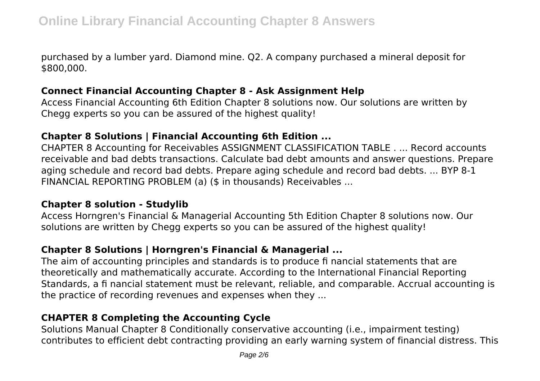purchased by a lumber yard. Diamond mine. Q2. A company purchased a mineral deposit for \$800,000.

#### **Connect Financial Accounting Chapter 8 - Ask Assignment Help**

Access Financial Accounting 6th Edition Chapter 8 solutions now. Our solutions are written by Chegg experts so you can be assured of the highest quality!

## **Chapter 8 Solutions | Financial Accounting 6th Edition ...**

CHAPTER 8 Accounting for Receivables ASSIGNMENT CLASSIFICATION TABLE . ... Record accounts receivable and bad debts transactions. Calculate bad debt amounts and answer questions. Prepare aging schedule and record bad debts. Prepare aging schedule and record bad debts. ... BYP 8-1 FINANCIAL REPORTING PROBLEM (a) (\$ in thousands) Receivables ...

### **Chapter 8 solution - Studylib**

Access Horngren's Financial & Managerial Accounting 5th Edition Chapter 8 solutions now. Our solutions are written by Chegg experts so you can be assured of the highest quality!

## **Chapter 8 Solutions | Horngren's Financial & Managerial ...**

The aim of accounting principles and standards is to produce fi nancial statements that are theoretically and mathematically accurate. According to the International Financial Reporting Standards, a fi nancial statement must be relevant, reliable, and comparable. Accrual accounting is the practice of recording revenues and expenses when they ...

## **CHAPTER 8 Completing the Accounting Cycle**

Solutions Manual Chapter 8 Conditionally conservative accounting (i.e., impairment testing) contributes to efficient debt contracting providing an early warning system of financial distress. This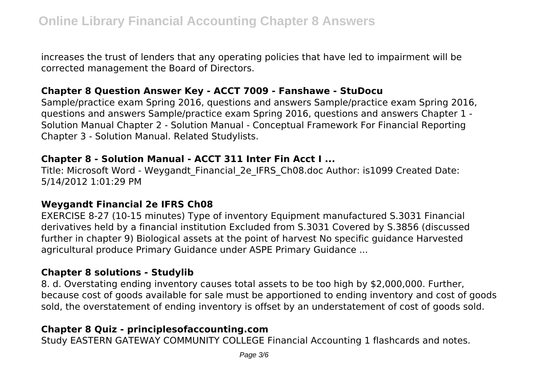increases the trust of lenders that any operating policies that have led to impairment will be corrected management the Board of Directors.

### **Chapter 8 Question Answer Key - ACCT 7009 - Fanshawe - StuDocu**

Sample/practice exam Spring 2016, questions and answers Sample/practice exam Spring 2016, questions and answers Sample/practice exam Spring 2016, questions and answers Chapter 1 - Solution Manual Chapter 2 - Solution Manual - Conceptual Framework For Financial Reporting Chapter 3 - Solution Manual. Related Studylists.

#### **Chapter 8 - Solution Manual - ACCT 311 Inter Fin Acct I ...**

Title: Microsoft Word - Weygandt\_Financial\_2e\_IFRS\_Ch08.doc Author: is1099 Created Date: 5/14/2012 1:01:29 PM

### **Weygandt Financial 2e IFRS Ch08**

EXERCISE 8-27 (10-15 minutes) Type of inventory Equipment manufactured S.3031 Financial derivatives held by a financial institution Excluded from S.3031 Covered by S.3856 (discussed further in chapter 9) Biological assets at the point of harvest No specific guidance Harvested agricultural produce Primary Guidance under ASPE Primary Guidance ...

## **Chapter 8 solutions - Studylib**

8. d. Overstating ending inventory causes total assets to be too high by \$2,000,000. Further, because cost of goods available for sale must be apportioned to ending inventory and cost of goods sold, the overstatement of ending inventory is offset by an understatement of cost of goods sold.

## **Chapter 8 Quiz - principlesofaccounting.com**

Study EASTERN GATEWAY COMMUNITY COLLEGE Financial Accounting 1 flashcards and notes.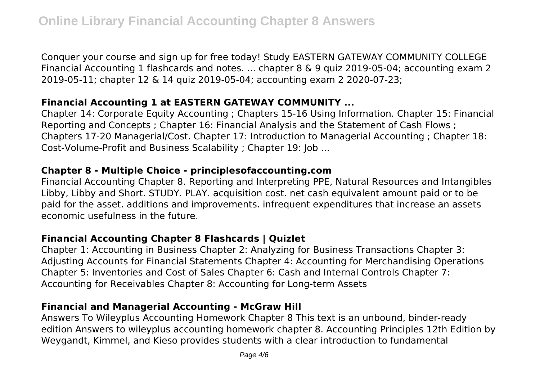Conquer your course and sign up for free today! Study EASTERN GATEWAY COMMUNITY COLLEGE Financial Accounting 1 flashcards and notes. ... chapter 8 & 9 quiz 2019-05-04; accounting exam 2 2019-05-11; chapter 12 & 14 quiz 2019-05-04; accounting exam 2 2020-07-23;

## **Financial Accounting 1 at EASTERN GATEWAY COMMUNITY ...**

Chapter 14: Corporate Equity Accounting ; Chapters 15-16 Using Information. Chapter 15: Financial Reporting and Concepts ; Chapter 16: Financial Analysis and the Statement of Cash Flows ; Chapters 17-20 Managerial/Cost. Chapter 17: Introduction to Managerial Accounting ; Chapter 18: Cost-Volume-Profit and Business Scalability ; Chapter 19: Job ...

### **Chapter 8 - Multiple Choice - principlesofaccounting.com**

Financial Accounting Chapter 8. Reporting and Interpreting PPE, Natural Resources and Intangibles Libby, Libby and Short. STUDY. PLAY. acquisition cost. net cash equivalent amount paid or to be paid for the asset. additions and improvements. infrequent expenditures that increase an assets economic usefulness in the future.

### **Financial Accounting Chapter 8 Flashcards | Quizlet**

Chapter 1: Accounting in Business Chapter 2: Analyzing for Business Transactions Chapter 3: Adjusting Accounts for Financial Statements Chapter 4: Accounting for Merchandising Operations Chapter 5: Inventories and Cost of Sales Chapter 6: Cash and Internal Controls Chapter 7: Accounting for Receivables Chapter 8: Accounting for Long-term Assets

## **Financial and Managerial Accounting - McGraw Hill**

Answers To Wileyplus Accounting Homework Chapter 8 This text is an unbound, binder-ready edition Answers to wileyplus accounting homework chapter 8. Accounting Principles 12th Edition by Weygandt, Kimmel, and Kieso provides students with a clear introduction to fundamental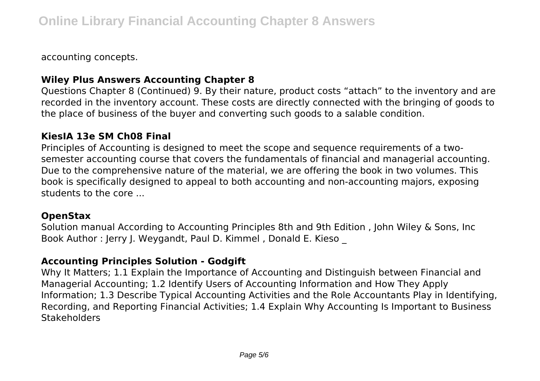accounting concepts.

## **Wiley Plus Answers Accounting Chapter 8**

Questions Chapter 8 (Continued) 9. By their nature, product costs "attach" to the inventory and are recorded in the inventory account. These costs are directly connected with the bringing of goods to the place of business of the buyer and converting such goods to a salable condition.

### **KiesIA 13e SM Ch08 Final**

Principles of Accounting is designed to meet the scope and sequence requirements of a twosemester accounting course that covers the fundamentals of financial and managerial accounting. Due to the comprehensive nature of the material, we are offering the book in two volumes. This book is specifically designed to appeal to both accounting and non-accounting majors, exposing students to the core ...

### **OpenStax**

Solution manual According to Accounting Principles 8th and 9th Edition , John Wiley & Sons, Inc Book Author : Jerry J. Weygandt, Paul D. Kimmel , Donald E. Kieso \_

## **Accounting Principles Solution - Godgift**

Why It Matters; 1.1 Explain the Importance of Accounting and Distinguish between Financial and Managerial Accounting; 1.2 Identify Users of Accounting Information and How They Apply Information; 1.3 Describe Typical Accounting Activities and the Role Accountants Play in Identifying, Recording, and Reporting Financial Activities; 1.4 Explain Why Accounting Is Important to Business **Stakeholders**